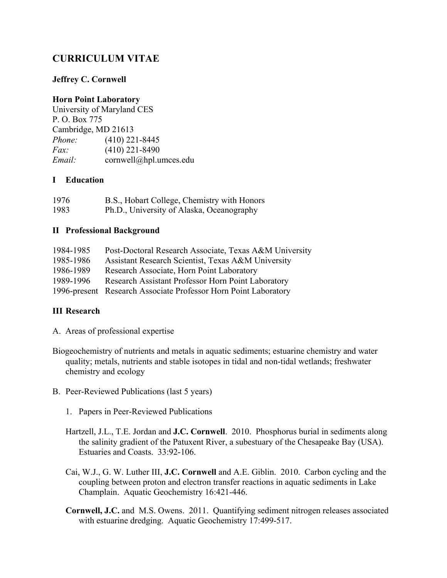# **CURRICULUM VITAE**

### **Jeffrey C. Cornwell**

### **Horn Point Laboratory**

University of Maryland CES P. O. Box 775 Cambridge, MD 21613 *Phone:* (410) 221-8445 *Fax:* (410) 221-8490 *Email:* cornwell@hpl.umces.edu

#### **I Education**

| 1976 | B.S., Hobart College, Chemistry with Honors |
|------|---------------------------------------------|
| 1983 | Ph.D., University of Alaska, Oceanography   |

#### **II Professional Background**

| 1984-1985 | Post-Doctoral Research Associate, Texas A&M University          |
|-----------|-----------------------------------------------------------------|
| 1985-1986 | Assistant Research Scientist, Texas A&M University              |
| 1986-1989 | Research Associate, Horn Point Laboratory                       |
| 1989-1996 | Research Assistant Professor Horn Point Laboratory              |
|           | 1996-present Research Associate Professor Horn Point Laboratory |

## **III Research**

- A. Areas of professional expertise
- Biogeochemistry of nutrients and metals in aquatic sediments; estuarine chemistry and water quality; metals, nutrients and stable isotopes in tidal and non-tidal wetlands; freshwater chemistry and ecology
- B. Peer-Reviewed Publications (last 5 years)
	- 1. Papers in Peer-Reviewed Publications
	- Hartzell, J.L., T.E. Jordan and **J.C. Cornwell**. 2010. Phosphorus burial in sediments along the salinity gradient of the Patuxent River, a subestuary of the Chesapeake Bay (USA). Estuaries and Coasts. 33:92-106.
	- Cai, W.J., G. W. Luther III, **J.C. Cornwell** and A.E. Giblin. 2010. Carbon cycling and the coupling between proton and electron transfer reactions in aquatic sediments in Lake Champlain. Aquatic Geochemistry 16:421-446.
	- **Cornwell, J.C.** and M.S. Owens. 2011. Quantifying sediment nitrogen releases associated with estuarine dredging. Aquatic Geochemistry 17:499-517.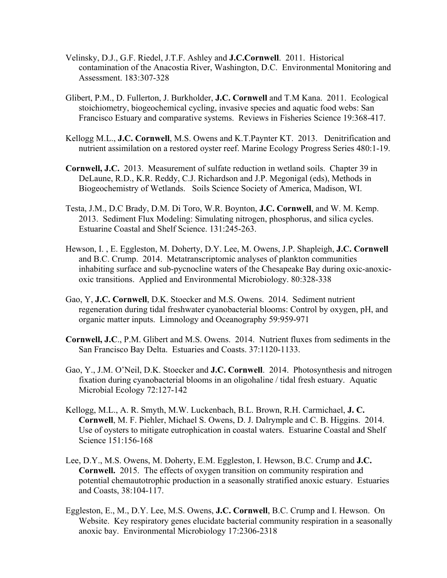- Velinsky, D.J., G.F. Riedel, J.T.F. Ashley and **J.C.Cornwell**. 2011. Historical contamination of the Anacostia River, Washington, D.C. Environmental Monitoring and Assessment. 183:307-328
- Glibert, P.M., D. Fullerton, J. Burkholder, **J.C. Cornwell** and T.M Kana. 2011. Ecological stoichiometry, biogeochemical cycling, invasive species and aquatic food webs: San Francisco Estuary and comparative systems. Reviews in Fisheries Science 19:368-417.
- Kellogg M.L., **J.C. Cornwell**, M.S. Owens and K.T.Paynter KT. 2013. Denitrification and nutrient assimilation on a restored oyster reef. Marine Ecology Progress Series 480:1-19.
- **Cornwell, J.C.** 2013. Measurement of sulfate reduction in wetland soils. Chapter 39 in DeLaune, R.D., K.R. Reddy, C.J. Richardson and J.P. Megonigal (eds), Methods in Biogeochemistry of Wetlands. Soils Science Society of America, Madison, WI.
- Testa, J.M., D.C Brady, D.M. Di Toro, W.R. Boynton, **J.C. Cornwell**, and W. M. Kemp. 2013. Sediment Flux Modeling: Simulating nitrogen, phosphorus, and silica cycles. Estuarine Coastal and Shelf Science. 131:245-263.
- Hewson, I. , E. Eggleston, M. Doherty, D.Y. Lee, M. Owens, J.P. Shapleigh, **J.C. Cornwell** and B.C. Crump. 2014. Metatranscriptomic analyses of plankton communities inhabiting surface and sub-pycnocline waters of the Chesapeake Bay during oxic-anoxicoxic transitions. Applied and Environmental Microbiology. 80:328-338
- Gao, Y, **J.C. Cornwell**, D.K. Stoecker and M.S. Owens. 2014. Sediment nutrient regeneration during tidal freshwater cyanobacterial blooms: Control by oxygen, pH, and organic matter inputs. Limnology and Oceanography 59:959-971
- **Cornwell, J.C**., P.M. Glibert and M.S. Owens. 2014. Nutrient fluxes from sediments in the San Francisco Bay Delta. Estuaries and Coasts. 37:1120-1133.
- Gao, Y., J.M. O'Neil, D.K. Stoecker and **J.C. Cornwell**. 2014. Photosynthesis and nitrogen fixation during cyanobacterial blooms in an oligohaline / tidal fresh estuary. Aquatic Microbial Ecology 72:127-142
- Kellogg, M.L., A. R. Smyth, M.W. Luckenbach, B.L. Brown, R.H. Carmichael, **J. C. Cornwell**, M. F. Piehler, Michael S. Owens, D. J. Dalrymple and C. B. Higgins. 2014. Use of oysters to mitigate eutrophication in coastal waters. Estuarine Coastal and Shelf Science 151:156-168
- Lee, D.Y., M.S. Owens, M. Doherty, E.M. Eggleston, I. Hewson, B.C. Crump and **J.C. Cornwell.** 2015.The effects of oxygen transition on community respiration and potential chemautotrophic production in a seasonally stratified anoxic estuary. Estuaries and Coasts, 38:104-117.
- Eggleston, E., M., D.Y. Lee, M.S. Owens, **J.C. Cornwell**, B.C. Crump and I. Hewson. On Website. Key respiratory genes elucidate bacterial community respiration in a seasonally anoxic bay. Environmental Microbiology 17:2306-2318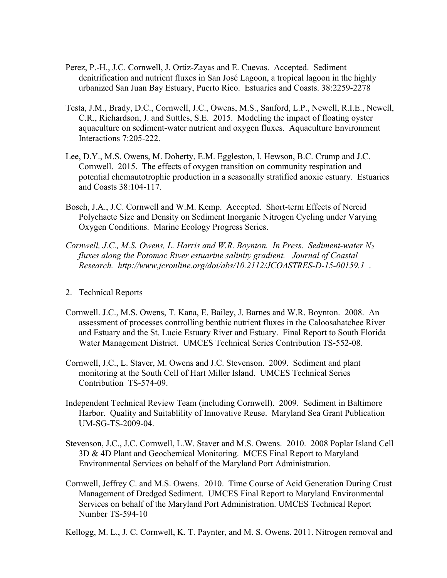- Perez, P.-H., J.C. Cornwell, J. Ortiz-Zayas and E. Cuevas. Accepted. Sediment denitrification and nutrient fluxes in San José Lagoon, a tropical lagoon in the highly urbanized San Juan Bay Estuary, Puerto Rico. Estuaries and Coasts. 38:2259-2278
- Testa, J.M., Brady, D.C., Cornwell, J.C., Owens, M.S., Sanford, L.P., Newell, R.I.E., Newell, C.R., Richardson, J. and Suttles, S.E. 2015. Modeling the impact of floating oyster aquaculture on sediment-water nutrient and oxygen fluxes. Aquaculture Environment Interactions 7:205-222.
- Lee, D.Y., M.S. Owens, M. Doherty, E.M. Eggleston, I. Hewson, B.C. Crump and J.C. Cornwell. 2015. The effects of oxygen transition on community respiration and potential chemautotrophic production in a seasonally stratified anoxic estuary. Estuaries and Coasts 38:104-117.
- Bosch, J.A., J.C. Cornwell and W.M. Kemp. Accepted. Short-term Effects of Nereid Polychaete Size and Density on Sediment Inorganic Nitrogen Cycling under Varying Oxygen Conditions. Marine Ecology Progress Series.
- *Cornwell, J.C., M.S. Owens, L. Harris and W.R. Boynton. In Press. Sediment-water N2 fluxes along the Potomac River estuarine salinity gradient. Journal of Coastal Research. http://www.jcronline.org/doi/abs/10.2112/JCOASTRES-D-15-00159.1* .
- 2. Technical Reports
- Cornwell. J.C., M.S. Owens, T. Kana, E. Bailey, J. Barnes and W.R. Boynton. 2008. An assessment of processes controlling benthic nutrient fluxes in the Caloosahatchee River and Estuary and the St. Lucie Estuary River and Estuary. Final Report to South Florida Water Management District. UMCES Technical Series Contribution TS-552-08.
- Cornwell, J.C., L. Staver, M. Owens and J.C. Stevenson. 2009. Sediment and plant monitoring at the South Cell of Hart Miller Island. UMCES Technical Series Contribution TS-574-09.
- Independent Technical Review Team (including Cornwell). 2009. Sediment in Baltimore Harbor. Quality and Suitablility of Innovative Reuse. Maryland Sea Grant Publication UM-SG-TS-2009-04.
- Stevenson, J.C., J.C. Cornwell, L.W. Staver and M.S. Owens. 2010. 2008 Poplar Island Cell 3D & 4D Plant and Geochemical Monitoring. MCES Final Report to Maryland Environmental Services on behalf of the Maryland Port Administration.
- Cornwell, Jeffrey C. and M.S. Owens. 2010. Time Course of Acid Generation During Crust Management of Dredged Sediment. UMCES Final Report to Maryland Environmental Services on behalf of the Maryland Port Administration. UMCES Technical Report Number TS-594-10
- Kellogg, M. L., J. C. Cornwell, K. T. Paynter, and M. S. Owens. 2011. Nitrogen removal and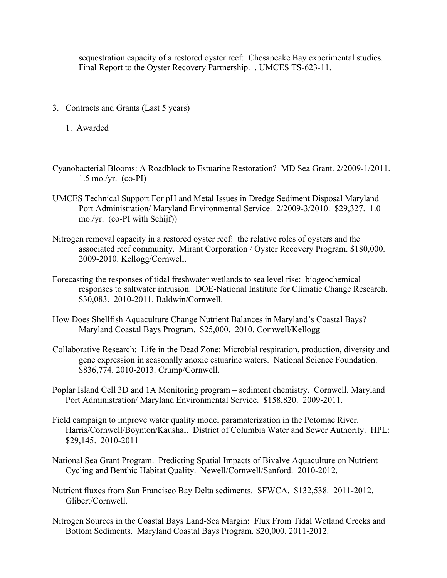sequestration capacity of a restored oyster reef: Chesapeake Bay experimental studies. Final Report to the Oyster Recovery Partnership. . UMCES TS-623-11.

- 3. Contracts and Grants (Last 5 years)
	- 1. Awarded
- Cyanobacterial Blooms: A Roadblock to Estuarine Restoration? MD Sea Grant. 2/2009-1/2011. 1.5 mo./yr. (co-PI)
- UMCES Technical Support For pH and Metal Issues in Dredge Sediment Disposal Maryland Port Administration/ Maryland Environmental Service. 2/2009-3/2010. \$29,327. 1.0 mo./yr. (co-PI with Schijf))
- Nitrogen removal capacity in a restored oyster reef: the relative roles of oysters and the associated reef community. Mirant Corporation / Oyster Recovery Program. \$180,000. 2009-2010. Kellogg/Cornwell.
- Forecasting the responses of tidal freshwater wetlands to sea level rise: biogeochemical responses to saltwater intrusion. DOE-National Institute for Climatic Change Research. \$30,083. 2010-2011. Baldwin/Cornwell.
- How Does Shellfish Aquaculture Change Nutrient Balances in Maryland's Coastal Bays? Maryland Coastal Bays Program. \$25,000. 2010. Cornwell/Kellogg
- Collaborative Research: Life in the Dead Zone: Microbial respiration, production, diversity and gene expression in seasonally anoxic estuarine waters. National Science Foundation. \$836,774. 2010-2013. Crump/Cornwell.
- Poplar Island Cell 3D and 1A Monitoring program sediment chemistry. Cornwell. Maryland Port Administration/ Maryland Environmental Service. \$158,820. 2009-2011.
- Field campaign to improve water quality model paramaterization in the Potomac River. Harris/Cornwell/Boynton/Kaushal. District of Columbia Water and Sewer Authority. HPL: \$29,145. 2010-2011
- National Sea Grant Program. Predicting Spatial Impacts of Bivalve Aquaculture on Nutrient Cycling and Benthic Habitat Quality. Newell/Cornwell/Sanford. 2010-2012.
- Nutrient fluxes from San Francisco Bay Delta sediments. SFWCA. \$132,538. 2011-2012. Glibert/Cornwell.
- Nitrogen Sources in the Coastal Bays Land-Sea Margin: Flux From Tidal Wetland Creeks and Bottom Sediments. Maryland Coastal Bays Program. \$20,000. 2011-2012.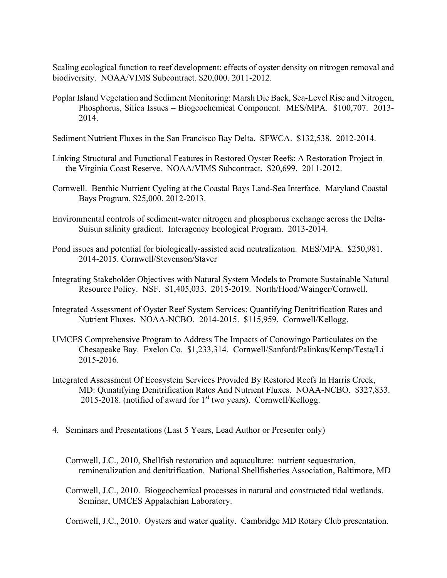Scaling ecological function to reef development: effects of oyster density on nitrogen removal and biodiversity. NOAA/VIMS Subcontract. \$20,000. 2011-2012.

- Poplar Island Vegetation and Sediment Monitoring: Marsh Die Back, Sea-Level Rise and Nitrogen, Phosphorus, Silica Issues – Biogeochemical Component. MES/MPA. \$100,707. 2013- 2014.
- Sediment Nutrient Fluxes in the San Francisco Bay Delta. SFWCA. \$132,538. 2012-2014.
- Linking Structural and Functional Features in Restored Oyster Reefs: A Restoration Project in the Virginia Coast Reserve. NOAA/VIMS Subcontract. \$20,699. 2011-2012.
- Cornwell. Benthic Nutrient Cycling at the Coastal Bays Land-Sea Interface. Maryland Coastal Bays Program. \$25,000. 2012-2013.
- Environmental controls of sediment-water nitrogen and phosphorus exchange across the Delta-Suisun salinity gradient. Interagency Ecological Program. 2013-2014.
- Pond issues and potential for biologically-assisted acid neutralization. MES/MPA. \$250,981. 2014-2015. Cornwell/Stevenson/Staver
- Integrating Stakeholder Objectives with Natural System Models to Promote Sustainable Natural Resource Policy. NSF. \$1,405,033. 2015-2019. North/Hood/Wainger/Cornwell.
- Integrated Assessment of Oyster Reef System Services: Quantifying Denitrification Rates and Nutrient Fluxes. NOAA-NCBO. 2014-2015. \$115,959. Cornwell/Kellogg.
- UMCES Comprehensive Program to Address The Impacts of Conowingo Particulates on the Chesapeake Bay. Exelon Co. \$1,233,314. Cornwell/Sanford/Palinkas/Kemp/Testa/Li 2015-2016.
- Integrated Assessment Of Ecosystem Services Provided By Restored Reefs In Harris Creek, MD: Qunatifying Denitrification Rates And Nutrient Fluxes. NOAA-NCBO. \$327,833. 2015-2018. (notified of award for  $1<sup>st</sup>$  two years). Cornwell/Kellogg.
- 4. Seminars and Presentations (Last 5 Years, Lead Author or Presenter only)
	- Cornwell, J.C., 2010, Shellfish restoration and aquaculture: nutrient sequestration, remineralization and denitrification. National Shellfisheries Association, Baltimore, MD
	- Cornwell, J.C., 2010. Biogeochemical processes in natural and constructed tidal wetlands. Seminar, UMCES Appalachian Laboratory.

Cornwell, J.C., 2010. Oysters and water quality. Cambridge MD Rotary Club presentation.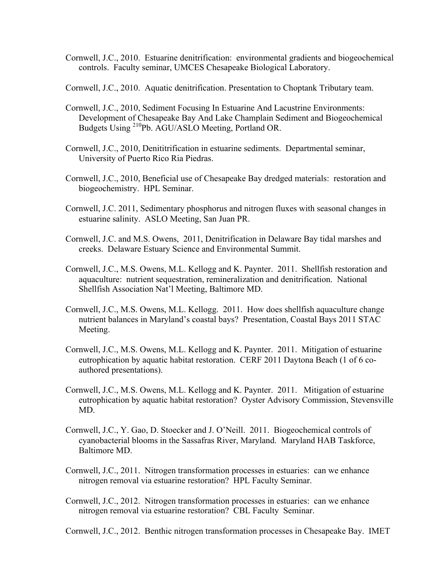- Cornwell, J.C., 2010. Estuarine denitrification: environmental gradients and biogeochemical controls. Faculty seminar, UMCES Chesapeake Biological Laboratory.
- Cornwell, J.C., 2010. Aquatic denitrification. Presentation to Choptank Tributary team.
- Cornwell, J.C., 2010, Sediment Focusing In Estuarine And Lacustrine Environments: Development of Chesapeake Bay And Lake Champlain Sediment and Biogeochemical Budgets Using 210Pb. AGU/ASLO Meeting, Portland OR.
- Cornwell, J.C., 2010, Denititrification in estuarine sediments. Departmental seminar, University of Puerto Rico Ria Piedras.
- Cornwell, J.C., 2010, Beneficial use of Chesapeake Bay dredged materials: restoration and biogeochemistry. HPL Seminar.
- Cornwell, J.C. 2011, Sedimentary phosphorus and nitrogen fluxes with seasonal changes in estuarine salinity. ASLO Meeting, San Juan PR.
- Cornwell, J.C. and M.S. Owens, 2011, Denitrification in Delaware Bay tidal marshes and creeks. Delaware Estuary Science and Environmental Summit.
- Cornwell, J.C., M.S. Owens, M.L. Kellogg and K. Paynter. 2011. Shellfish restoration and aquaculture: nutrient sequestration, remineralization and denitrification. National Shellfish Association Nat'l Meeting, Baltimore MD.
- Cornwell, J.C., M.S. Owens, M.L. Kellogg. 2011. How does shellfish aquaculture change nutrient balances in Maryland's coastal bays? Presentation, Coastal Bays 2011 STAC Meeting.
- Cornwell, J.C., M.S. Owens, M.L. Kellogg and K. Paynter. 2011. Mitigation of estuarine eutrophication by aquatic habitat restoration. CERF 2011 Daytona Beach (1 of 6 coauthored presentations).
- Cornwell, J.C., M.S. Owens, M.L. Kellogg and K. Paynter. 2011. Mitigation of estuarine eutrophication by aquatic habitat restoration? Oyster Advisory Commission, Stevensville MD.
- Cornwell, J.C., Y. Gao, D. Stoecker and J. O'Neill. 2011. Biogeochemical controls of cyanobacterial blooms in the Sassafras River, Maryland. Maryland HAB Taskforce, Baltimore MD.
- Cornwell, J.C., 2011. Nitrogen transformation processes in estuaries: can we enhance nitrogen removal via estuarine restoration? HPL Faculty Seminar.
- Cornwell, J.C., 2012. Nitrogen transformation processes in estuaries: can we enhance nitrogen removal via estuarine restoration? CBL Faculty Seminar.
- Cornwell, J.C., 2012. Benthic nitrogen transformation processes in Chesapeake Bay. IMET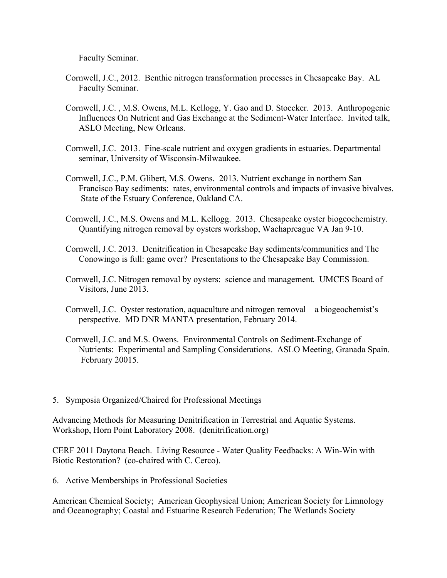Faculty Seminar.

- Cornwell, J.C., 2012. Benthic nitrogen transformation processes in Chesapeake Bay. AL Faculty Seminar.
- Cornwell, J.C. , M.S. Owens, M.L. Kellogg, Y. Gao and D. Stoecker. 2013. Anthropogenic Influences On Nutrient and Gas Exchange at the Sediment-Water Interface. Invited talk, ASLO Meeting, New Orleans.
- Cornwell, J.C. 2013. Fine-scale nutrient and oxygen gradients in estuaries. Departmental seminar, University of Wisconsin-Milwaukee.
- Cornwell, J.C., P.M. Glibert, M.S. Owens. 2013. Nutrient exchange in northern San Francisco Bay sediments: rates, environmental controls and impacts of invasive bivalves. State of the Estuary Conference, Oakland CA.
- Cornwell, J.C., M.S. Owens and M.L. Kellogg. 2013. Chesapeake oyster biogeochemistry. Quantifying nitrogen removal by oysters workshop, Wachapreague VA Jan 9-10.
- Cornwell, J.C. 2013. Denitrification in Chesapeake Bay sediments/communities and The Conowingo is full: game over? Presentations to the Chesapeake Bay Commission.
- Cornwell, J.C. Nitrogen removal by oysters: science and management. UMCES Board of Visitors, June 2013.
- Cornwell, J.C. Oyster restoration, aquaculture and nitrogen removal a biogeochemist's perspective. MD DNR MANTA presentation, February 2014.
- Cornwell, J.C. and M.S. Owens. Environmental Controls on Sediment-Exchange of Nutrients: Experimental and Sampling Considerations. ASLO Meeting, Granada Spain. February 20015.
- 5. Symposia Organized/Chaired for Professional Meetings

Advancing Methods for Measuring Denitrification in Terrestrial and Aquatic Systems. Workshop, Horn Point Laboratory 2008. (denitrification.org)

CERF 2011 Daytona Beach. Living Resource - Water Quality Feedbacks: A Win-Win with Biotic Restoration? (co-chaired with C. Cerco).

6. Active Memberships in Professional Societies

American Chemical Society; American Geophysical Union; American Society for Limnology and Oceanography; Coastal and Estuarine Research Federation; The Wetlands Society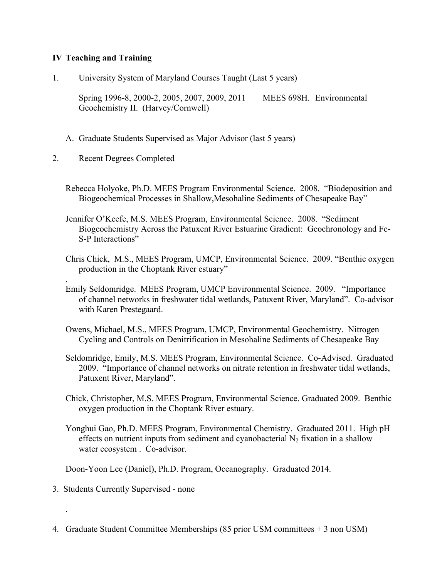### **IV Teaching and Training**

1. University System of Maryland Courses Taught (Last 5 years)

Spring 1996-8, 2000-2, 2005, 2007, 2009, 2011 MEES 698H. Environmental Geochemistry II. (Harvey/Cornwell)

- A. Graduate Students Supervised as Major Advisor (last 5 years)
- 2. Recent Degrees Completed

.

.

- Rebecca Holyoke, Ph.D. MEES Program Environmental Science. 2008. "Biodeposition and Biogeochemical Processes in Shallow,Mesohaline Sediments of Chesapeake Bay"
- Jennifer O'Keefe, M.S. MEES Program, Environmental Science. 2008. "Sediment Biogeochemistry Across the Patuxent River Estuarine Gradient: Geochronology and Fe-S-P Interactions"
- Chris Chick, M.S., MEES Program, UMCP, Environmental Science. 2009. "Benthic oxygen production in the Choptank River estuary"
- Emily Seldomridge. MEES Program, UMCP Environmental Science. 2009. "Importance of channel networks in freshwater tidal wetlands, Patuxent River, Maryland". Co-advisor with Karen Prestegaard.
- Owens, Michael, M.S., MEES Program, UMCP, Environmental Geochemistry. Nitrogen Cycling and Controls on Denitrification in Mesohaline Sediments of Chesapeake Bay
- Seldomridge, Emily, M.S. MEES Program, Environmental Science. Co-Advised. Graduated 2009. "Importance of channel networks on nitrate retention in freshwater tidal wetlands, Patuxent River, Maryland".
- Chick, Christopher, M.S. MEES Program, Environmental Science. Graduated 2009. Benthic oxygen production in the Choptank River estuary.
- Yonghui Gao, Ph.D. MEES Program, Environmental Chemistry. Graduated 2011. High pH effects on nutrient inputs from sediment and cyanobacterial  $N_2$  fixation in a shallow water ecosystem . Co-advisor.

Doon-Yoon Lee (Daniel), Ph.D. Program, Oceanography. Graduated 2014.

- 3. Students Currently Supervised none
- 4. Graduate Student Committee Memberships (85 prior USM committees + 3 non USM)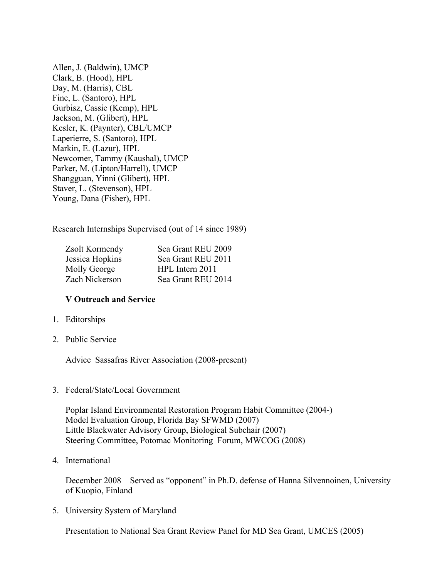Allen, J. (Baldwin), UMCP Clark, B. (Hood), HPL Day, M. (Harris), CBL Fine, L. (Santoro), HPL Gurbisz, Cassie (Kemp), HPL Jackson, M. (Glibert), HPL Kesler, K. (Paynter), CBL/UMCP Laperierre, S. (Santoro), HPL Markin, E. (Lazur), HPL Newcomer, Tammy (Kaushal), UMCP Parker, M. (Lipton/Harrell), UMCP Shangguan, Yinni (Glibert), HPL Staver, L. (Stevenson), HPL Young, Dana (Fisher), HPL

Research Internships Supervised (out of 14 since 1989)

| Sea Grant REU 2009 |
|--------------------|
| Sea Grant REU 2011 |
| HPL Intern 2011    |
| Sea Grant REU 2014 |
|                    |

#### **V Outreach and Service**

- 1. Editorships
- 2. Public Service

Advice Sassafras River Association (2008-present)

3. Federal/State/Local Government

Poplar Island Environmental Restoration Program Habit Committee (2004-) Model Evaluation Group, Florida Bay SFWMD (2007) Little Blackwater Advisory Group, Biological Subchair (2007) Steering Committee, Potomac Monitoring Forum, MWCOG (2008)

4. International

 December 2008 – Served as "opponent" in Ph.D. defense of Hanna Silvennoinen, University of Kuopio, Finland

5. University System of Maryland

Presentation to National Sea Grant Review Panel for MD Sea Grant, UMCES (2005)